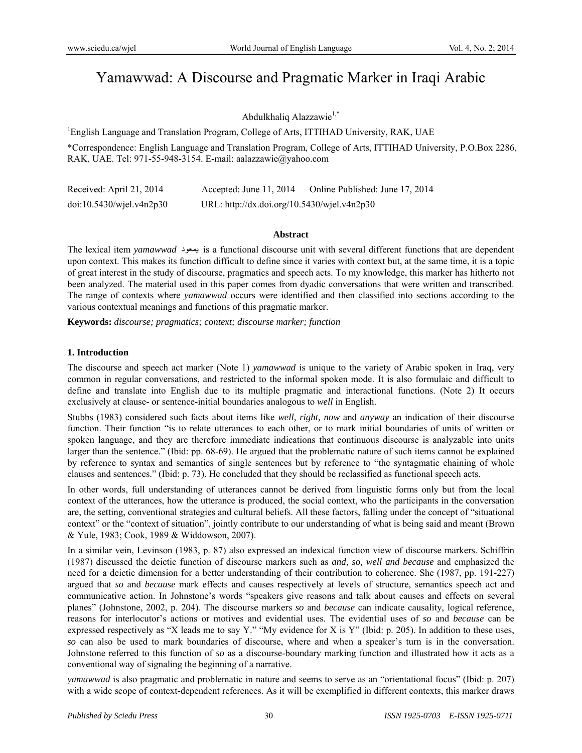# Yamawwad: A Discourse and Pragmatic Marker in Iraqi Arabic

Abdulkhaliq Alazzawie<sup>1,\*</sup>

<sup>1</sup>English Language and Translation Program, College of Arts, ITTIHAD University, RAK, UAE

\*Correspondence: English Language and Translation Program, College of Arts, ITTIHAD University, P.O.Box 2286, RAK, UAE. Tel: 971-55-948-3154. E-mail: aalazzawie@yahoo.com

| Received: April 21, 2014    | Accepted: June 11, 2014                     | Online Published: June 17, 2014 |
|-----------------------------|---------------------------------------------|---------------------------------|
| $doi:10.5430/w$ jel.v4n2p30 | URL: http://dx.doi.org/10.5430/wjel.v4n2p30 |                                 |

## **Abstract**

The lexical item *yamawwad* يمعود is a functional discourse unit with several different functions that are dependent upon context. This makes its function difficult to define since it varies with context but, at the same time, it is a topic of great interest in the study of discourse, pragmatics and speech acts. To my knowledge, this marker has hitherto not been analyzed. The material used in this paper comes from dyadic conversations that were written and transcribed. The range of contexts where *yamawwad* occurs were identified and then classified into sections according to the various contextual meanings and functions of this pragmatic marker.

**Keywords:** *discourse; pragmatics; context; discourse marker; function* 

# **1. Introduction**

The discourse and speech act marker (Note 1) *yamawwad* is unique to the variety of Arabic spoken in Iraq, very common in regular conversations, and restricted to the informal spoken mode. It is also formulaic and difficult to define and translate into English due to its multiple pragmatic and interactional functions. (Note 2) It occurs exclusively at clause- or sentence-initial boundaries analogous to *well* in English.

Stubbs (1983) considered such facts about items like *well, right, now* and *anyway* an indication of their discourse function. Their function "is to relate utterances to each other, or to mark initial boundaries of units of written or spoken language, and they are therefore immediate indications that continuous discourse is analyzable into units larger than the sentence." (Ibid: pp. 68-69). He argued that the problematic nature of such items cannot be explained by reference to syntax and semantics of single sentences but by reference to "the syntagmatic chaining of whole clauses and sentences." (Ibid: p. 73). He concluded that they should be reclassified as functional speech acts.

In other words, full understanding of utterances cannot be derived from linguistic forms only but from the local context of the utterances, how the utterance is produced, the social context, who the participants in the conversation are, the setting, conventional strategies and cultural beliefs. All these factors, falling under the concept of "situational context" or the "context of situation", jointly contribute to our understanding of what is being said and meant (Brown & Yule, 1983; Cook, 1989 & Widdowson, 2007).

In a similar vein, Levinson (1983, p. 87) also expressed an indexical function view of discourse markers. Schiffrin (1987) discussed the deictic function of discourse markers such as *and, so, well and because* and emphasized the need for a deictic dimension for a better understanding of their contribution to coherence. She (1987, pp. 191-227) argued that *so* and *because* mark effects and causes respectively at levels of structure, semantics speech act and communicative action. In Johnstone's words "speakers give reasons and talk about causes and effects on several planes" (Johnstone, 2002, p. 204). The discourse markers *so* and *because* can indicate causality, logical reference, reasons for interlocutor's actions or motives and evidential uses. The evidential uses of *so* and *because* can be expressed respectively as "X leads me to say Y." "My evidence for X is Y" (Ibid: p. 205). In addition to these uses, *so* can also be used to mark boundaries of discourse, where and when a speaker's turn is in the conversation. Johnstone referred to this function of *so* as a discourse-boundary marking function and illustrated how it acts as a conventional way of signaling the beginning of a narrative.

*yamawwad* is also pragmatic and problematic in nature and seems to serve as an "orientational focus" (Ibid: p. 207) with a wide scope of context-dependent references. As it will be exemplified in different contexts, this marker draws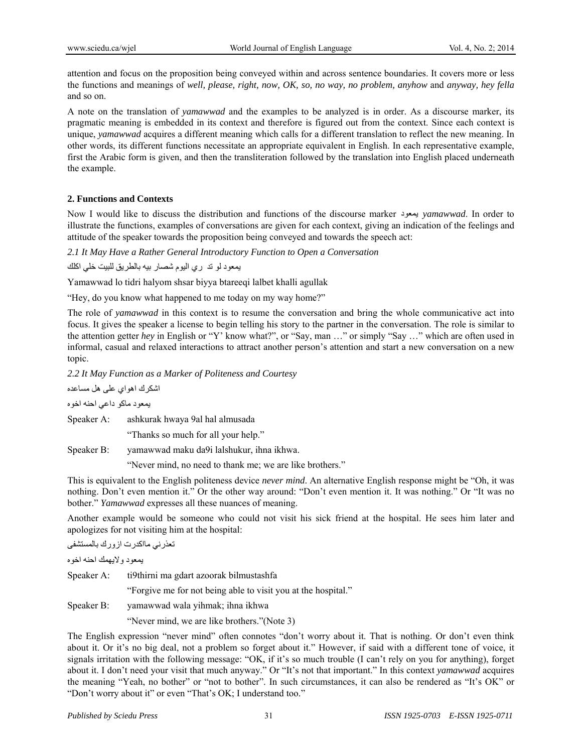attention and focus on the proposition being conveyed within and across sentence boundaries. It covers more or less the functions and meanings of *well, please, right, now, OK, so, no way, no problem, anyhow* and *anyway, hey fella*  and so on.

A note on the translation of *yamawwad* and the examples to be analyzed is in order. As a discourse marker, its pragmatic meaning is embedded in its context and therefore is figured out from the context. Since each context is unique, *yamawwad* acquires a different meaning which calls for a different translation to reflect the new meaning. In other words, its different functions necessitate an appropriate equivalent in English. In each representative example, first the Arabic form is given, and then the transliteration followed by the translation into English placed underneath the example.

# **2. Functions and Contexts**

Now I would like to discuss the distribution and functions of the discourse marker يمعود *yamawwad*. In order to illustrate the functions, examples of conversations are given for each context, giving an indication of the feelings and attitude of the speaker towards the proposition being conveyed and towards the speech act:

*2.1 It May Have a Rather General Introductory Function to Open a Conversation* 

يمعود لو تد ري اليوم شصار بيه بالطريق للبيت خلي اآلك

Yamawwad lo tidri halyom shsar biyya btareeqi lalbet khalli agullak

"Hey, do you know what happened to me today on my way home?"

The role of *yamawwad* in this context is to resume the conversation and bring the whole communicative act into focus. It gives the speaker a license to begin telling his story to the partner in the conversation. The role is similar to the attention getter *hey* in English or "Y' know what?", or "Say, man …" or simply "Say …" which are often used in informal, casual and relaxed interactions to attract another person's attention and start a new conversation on a new topic.

*2.2 It May Function as a Marker of Politeness and Courtesy* 

اشكرك اهواي على هل مساعده

يمعود ماآو داعي احنه اخوه

Speaker A: ashkurak hwaya 9al hal almusada

"Thanks so much for all your help."

Speaker B: yamawwad maku da9i lalshukur, ihna ikhwa.

"Never mind, no need to thank me; we are like brothers."

This is equivalent to the English politeness device *never mind*. An alternative English response might be "Oh, it was nothing. Don't even mention it." Or the other way around: "Don't even mention it. It was nothing." Or "It was no bother." *Yamawwad* expresses all these nuances of meaning.

Another example would be someone who could not visit his sick friend at the hospital. He sees him later and apologizes for not visiting him at the hospital:

تعذرني مااكدرت ازورك بالمستشفى

يمعود ولايهمك احنه اخوه

Speaker A: ti9thirni ma gdart azoorak bilmustashfa

"Forgive me for not being able to visit you at the hospital."

Speaker B: yamawwad wala yihmak; ihna ikhwa

"Never mind, we are like brothers."(Note 3)

The English expression "never mind" often connotes "don't worry about it. That is nothing. Or don't even think about it. Or it's no big deal, not a problem so forget about it." However, if said with a different tone of voice, it signals irritation with the following message: "OK, if it's so much trouble (I can't rely on you for anything), forget about it. I don't need your visit that much anyway." Or "It's not that important." In this context *yamawwad* acquires the meaning "Yeah, no bother" or "not to bother". In such circumstances, it can also be rendered as "It's OK" or "Don't worry about it" or even "That's OK; I understand too."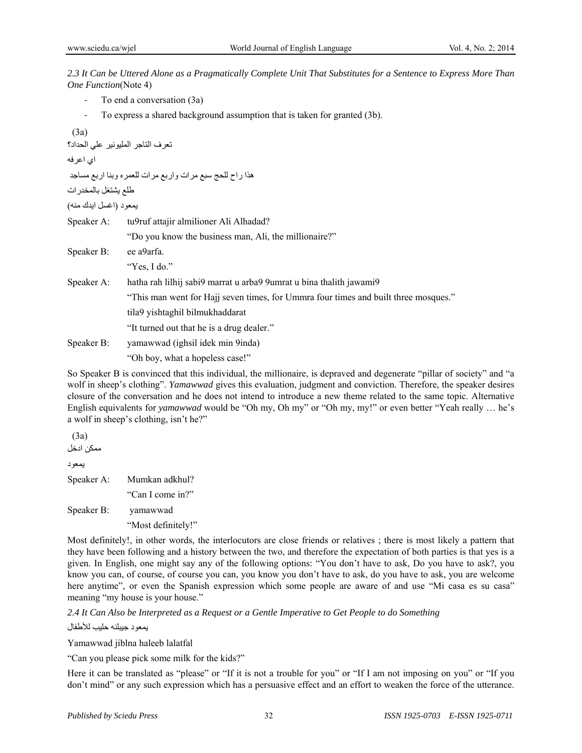*2.3 It Can be Uttered Alone as a Pragmatically Complete Unit That Substitutes for a Sentence to Express More Than One Function*(Note 4)

- ‐ To end a conversation (3a)
- ‐ To express a shared background assumption that is taken for granted (3b).

| (3a)                              |                                                                                     |  |
|-----------------------------------|-------------------------------------------------------------------------------------|--|
| تعرف التاجر المليونير على الحداد؟ |                                                                                     |  |
| اي اعرفه                          |                                                                                     |  |
|                                   | هذا راح للحج سبع مرات واربع مرات للعمره وبنا اربع مساجد                             |  |
| طلع يشتغل بالمخدرات               |                                                                                     |  |
| يمعود (اغسل ايدك منه)             |                                                                                     |  |
| Speaker A:                        | tu9ruf attajir almilioner Ali Alhadad?                                              |  |
|                                   | "Do you know the business man, Ali, the millionaire?"                               |  |
| Speaker B:                        | ee a9arfa.                                                                          |  |
|                                   | "Yes, I do."                                                                        |  |
| Speaker A:                        | hatha rah lilhij sabi9 marrat u arba9 9 umrat u bina thalith jawami9                |  |
|                                   | "This man went for Hajj seven times, for Ummra four times and built three mosques." |  |
|                                   | tila9 yishtaghil bilmukhaddarat                                                     |  |
|                                   | "It turned out that he is a drug dealer."                                           |  |
| Speaker B:                        | yamawwad (ighsil idek min 9inda)                                                    |  |
|                                   | "Oh boy, what a hopeless case!"                                                     |  |

So Speaker B is convinced that this individual, the millionaire, is depraved and degenerate "pillar of society" and "a wolf in sheep's clothing". *Yamawwad* gives this evaluation, judgment and conviction. Therefore, the speaker desires closure of the conversation and he does not intend to introduce a new theme related to the same topic. Alternative English equivalents for *yamawwad* would be "Oh my, Oh my" or "Oh my, my!" or even better "Yeah really … he's a wolf in sheep's clothing, isn't he?"

(3a)

ممكن ادخل

يمعود

| Speaker A: | Mumkan adkhul?     |  |
|------------|--------------------|--|
|            | "Can I come in?"   |  |
| Speaker B: | vamawwad           |  |
|            | "Most definitely!" |  |
|            |                    |  |

Most definitely!, in other words, the interlocutors are close friends or relatives ; there is most likely a pattern that they have been following and a history between the two, and therefore the expectation of both parties is that yes is a given. In English, one might say any of the following options: "You don't have to ask, Do you have to ask?, you know you can, of course, of course you can, you know you don't have to ask, do you have to ask, you are welcome here anytime", or even the Spanish expression which some people are aware of and use "Mi casa es su casa" meaning "my house is your house."

*2.4 It Can Also be Interpreted as a Request or a Gentle Imperative to Get People to do Something*

يمعود جيبلنه حليب للأطفال

Yamawwad jiblna haleeb lalatfal

"Can you please pick some milk for the kids?"

Here it can be translated as "please" or "If it is not a trouble for you" or "If I am not imposing on you" or "If you don't mind" or any such expression which has a persuasive effect and an effort to weaken the force of the utterance.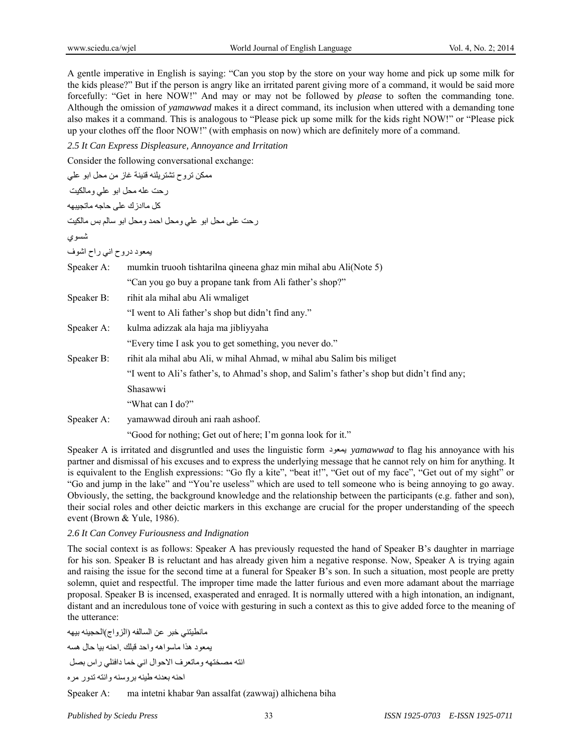A gentle imperative in English is saying: "Can you stop by the store on your way home and pick up some milk for the kids please?" But if the person is angry like an irritated parent giving more of a command, it would be said more forcefully: "Get in here NOW!" And may or may not be followed by *please* to soften the commanding tone. Although the omission of *yamawwad* makes it a direct command, its inclusion when uttered with a demanding tone also makes it a command. This is analogous to "Please pick up some milk for the kids right NOW!" or "Please pick up your clothes off the floor NOW!" (with emphasis on now) which are definitely more of a command.

*2.5 It Can Express Displeasure, Annoyance and Irritation*

Consider the following conversational exchange:

ممكن تروح تشتريلنه قنينة غاز من محل ابو علي رحت عله محل ابو علي ومالكيت كل ماادز ك على حاجه ماتجيبهه رحت على محل ابو علي ومحل احمد ومحل ابو سالم بس مالكيت شسوي يمعود دروح اني راح اشوف Speaker A: mumkin truooh tishtarilna qineena ghaz min mihal abu Ali(Note 5) "Can you go buy a propane tank from Ali father's shop?" Speaker B: rihit ala mihal abu Ali wmaliget "I went to Ali father's shop but didn't find any." Speaker A: kulma adizzak ala haja ma jibliyyaha "Every time I ask you to get something, you never do." Speaker B: rihit ala mihal abu Ali, w mihal Ahmad, w mihal abu Salim bis miliget "I went to Ali's father's, to Ahmad's shop, and Salim's father's shop but didn't find any; Shasawwi "What can I do?" Speaker A: yamawwad dirouh ani raah ashoof. "Good for nothing; Get out of here; I'm gonna look for it."

Speaker A is irritated and disgruntled and uses the linguistic form يمعود *yamawwad* to flag his annoyance with his partner and dismissal of his excuses and to express the underlying message that he cannot rely on him for anything. It is equivalent to the English expressions: "Go fly a kite", "beat it!", "Get out of my face", "Get out of my sight" or "Go and jump in the lake" and "You're useless" which are used to tell someone who is being annoying to go away. Obviously, the setting, the background knowledge and the relationship between the participants (e.g. father and son), their social roles and other deictic markers in this exchange are crucial for the proper understanding of the speech event (Brown & Yule, 1986).

# *2.6 It Can Convey Furiousness and Indignation*

The social context is as follows: Speaker A has previously requested the hand of Speaker B's daughter in marriage for his son. Speaker B is reluctant and has already given him a negative response. Now, Speaker A is trying again and raising the issue for the second time at a funeral for Speaker B's son. In such a situation, most people are pretty solemn, quiet and respectful. The improper time made the latter furious and even more adamant about the marriage proposal. Speaker B is incensed, exasperated and enraged. It is normally uttered with a high intonation, an indignant, distant and an incredulous tone of voice with gesturing in such a context as this to give added force to the meaning of the utterance:

مانطيتني خبر عن السالفه (الزواج)الحجينه بيهه يمعود هذا ماسواهه واحد قبلك .احنه بيا حال هسه انته مصختهه وماتعرف الاحوال اني خما دافنلي راس بصل احنه بعدنه طينه بروسنه وانته تدور مره

Speaker A: ma intetni khabar 9an assalfat (zawwaj) alhichena biha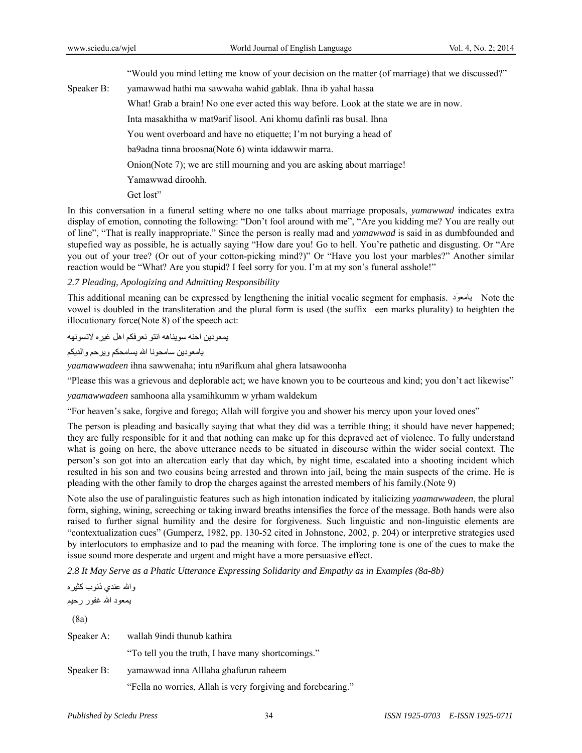"Would you mind letting me know of your decision on the matter (of marriage) that we discussed?"

Speaker B: yamawwad hathi ma sawwaha wahid gablak. Ihna ib yahal hassa

What! Grab a brain! No one ever acted this way before. Look at the state we are in now.

Inta masakhitha w mat9arif lisool. Ani khomu dafinli ras busal. Ihna

You went overboard and have no etiquette; I'm not burying a head of

ba9adna tinna broosna(Note 6) winta iddawwir marra.

Onion(Note 7); we are still mourning and you are asking about marriage!

Yamawwad diroohh.

Get lost"

In this conversation in a funeral setting where no one talks about marriage proposals, *yamawwad* indicates extra display of emotion, connoting the following: "Don't fool around with me", "Are you kidding me? You are really out of line", "That is really inappropriate." Since the person is really mad and *yamawwad* is said in as dumbfounded and stupefied way as possible, he is actually saying "How dare you! Go to hell. You're pathetic and disgusting. Or "Are you out of your tree? (Or out of your cotton-picking mind?)" Or "Have you lost your marbles?" Another similar reaction would be "What? Are you stupid? I feel sorry for you. I'm at my son's funeral asshole!"

# *2.7 Pleading, Apologizing and Admitting Responsibility*

This additional meaning can be expressed by lengthening the initial vocalic segment for emphasis. دَيامعو Note the vowel is doubled in the transliteration and the plural form is used (the suffix –een marks plurality) to heighten the illocutionary force(Note 8) of the speech act:

# يمعودين احنه سويناهه انتو نعرفكم اهل غيره لاتسونهه

يامعودين سامحونا االله يسامحكم ويرحم والديكم

*yaamawwadeen* ihna sawwenaha; intu n9arifkum ahal ghera latsawoonha

"Please this was a grievous and deplorable act; we have known you to be courteous and kind; you don't act likewise"

*yaamawwadeen* samhoona alla ysamihkumm w yrham waldekum

"For heaven's sake, forgive and forego; Allah will forgive you and shower his mercy upon your loved ones"

The person is pleading and basically saying that what they did was a terrible thing; it should have never happened; they are fully responsible for it and that nothing can make up for this depraved act of violence. To fully understand what is going on here, the above utterance needs to be situated in discourse within the wider social context. The person's son got into an altercation early that day which, by night time, escalated into a shooting incident which resulted in his son and two cousins being arrested and thrown into jail, being the main suspects of the crime. He is pleading with the other family to drop the charges against the arrested members of his family.(Note 9)

Note also the use of paralinguistic features such as high intonation indicated by italicizing *yaamawwadeen*, the plural form, sighing, wining, screeching or taking inward breaths intensifies the force of the message. Both hands were also raised to further signal humility and the desire for forgiveness. Such linguistic and non-linguistic elements are "contextualization cues" (Gumperz, 1982, pp. 130-52 cited in Johnstone, 2002, p. 204) or interpretive strategies used by interlocutors to emphasize and to pad the meaning with force. The imploring tone is one of the cues to make the issue sound more desperate and urgent and might have a more persuasive effect.

*2.8 It May Serve as a Phatic Utterance Expressing Solidarity and Empathy as in Examples (8a-8b)*

والله عندي ذنوب كثيره يمعود االله غفور رحيم

(8a)

Speaker A: wallah 9indi thunub kathira

"To tell you the truth, I have many shortcomings."

Speaker B: yamawwad inna Alllaha ghafurun raheem

"Fella no worries, Allah is very forgiving and forebearing."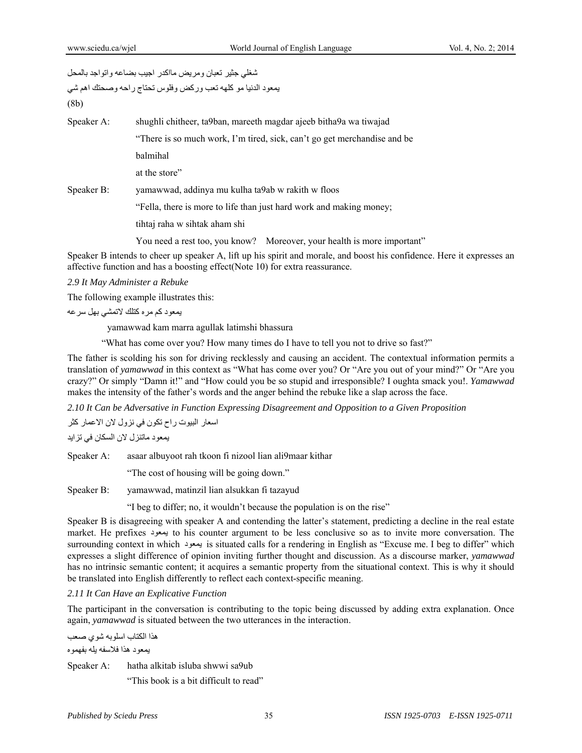```
شغلي جثير تعبان ومريض مااآدر اجيب بضاعه واتواجد بالمحل
```

```
يمعود الدنيا مو كلهه تعب وركض وفلوس تحتاج راحه وصحتك اهم شي
```
(8b)

Speaker A: shughli chitheer, ta9ban, mareeth magdar ajeeb bitha9a wa tiwajad "There is so much work, I'm tired, sick, can't go get merchandise and be balmihal at the store" Speaker B: yamawwad, addinya mu kulha ta9ab w rakith w floos "Fella, there is more to life than just hard work and making money; tihtaj raha w sihtak aham shi

You need a rest too, you know? Moreover, your health is more important"

Speaker B intends to cheer up speaker A, lift up his spirit and morale, and boost his confidence. Here it expresses an affective function and has a boosting effect(Note 10) for extra reassurance.

*2.9 It May Administer a Rebuke*

The following example illustrates this:

يمعود كم مره كتلك لاتمشي بهل سرعه

yamawwad kam marra agullak latimshi bhassura

"What has come over you? How many times do I have to tell you not to drive so fast?"

The father is scolding his son for driving recklessly and causing an accident. The contextual information permits a translation of *yamawwad* in this context as "What has come over you? Or "Are you out of your mind?" Or "Are you crazy?" Or simply "Damn it!" and "How could you be so stupid and irresponsible? I oughta smack you!. *Yamawwad* makes the intensity of the father's words and the anger behind the rebuke like a slap across the face.

*2.10 It Can be Adversative in Function Expressing Disagreement and Opposition to a Given Proposition* 

اسعار البيوت راح تكون في نزول لان الاعمار آثر

يمعود ماتنزل لان السكان في تزايد

Speaker A: asaar albuyoot rah tkoon fi nizool lian ali9maar kithar

"The cost of housing will be going down."

Speaker B: yamawwad, matinzil lian alsukkan fi tazayud

"I beg to differ; no, it wouldn't because the population is on the rise"

Speaker B is disagreeing with speaker A and contending the latter's statement, predicting a decline in the real estate market. He prefixes يمعود to his counter argument to be less conclusive so as to invite more conversation. The surrounding context in which يمعود is situated calls for a rendering in English as "Excuse me. I beg to differ" which expresses a slight difference of opinion inviting further thought and discussion. As a discourse marker, *yamawwad* has no intrinsic semantic content; it acquires a semantic property from the situational context. This is why it should be translated into English differently to reflect each context-specific meaning.

# *2.11 It Can Have an Explicative Function*

The participant in the conversation is contributing to the topic being discussed by adding extra explanation. Once again, *yamawwad* is situated between the two utterances in the interaction.

هذا الكتاب اسلوبه شوي صعب

يمعود هذا فلاسفه يله بفهموه

Speaker A: hatha alkitab isluba shwwi sa9ub

"This book is a bit difficult to read"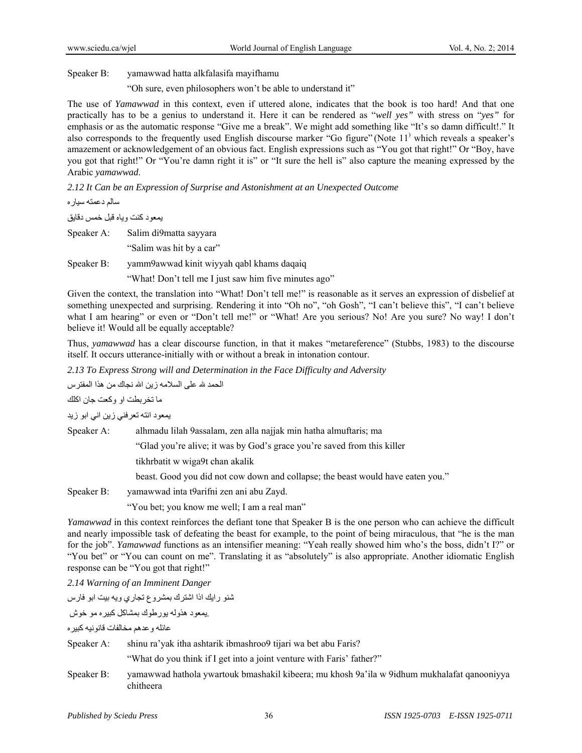Speaker B: yamawwad hatta alkfalasifa mayifhamu

"Oh sure, even philosophers won't be able to understand it"

The use of *Yamawwad* in this context, even if uttered alone, indicates that the book is too hard! And that one practically has to be a genius to understand it. Here it can be rendered as "*well yes"* with stress on "*yes"* for emphasis or as the automatic response "Give me a break". We might add something like "It's so damn difficult!." It also corresponds to the frequently used English discourse marker "Go figure" (Note 11<sup>)</sup> which reveals a speaker's amazement or acknowledgement of an obvious fact. English expressions such as "You got that right!" Or "Boy, have you got that right!" Or "You're damn right it is" or "It sure the hell is" also capture the meaning expressed by the Arabic *yamawwad*.

*2.12 It Can be an Expression of Surprise and Astonishment at an Unexpected Outcome* 

سالم دعمته سياره

يمعو د کنت و ياه قبل خمس دقايق

Speaker A: Salim di9matta sayyara

"Salim was hit by a car"

Speaker B: yamm9awwad kinit wiyyah qabl khams daqaiq

"What! Don't tell me I just saw him five minutes ago"

Given the context, the translation into "What! Don't tell me!" is reasonable as it serves an expression of disbelief at something unexpected and surprising. Rendering it into "Oh no", "oh Gosh", "I can't believe this", "I can't believe what I am hearing" or even or "Don't tell me!" or "What! Are you serious? No! Are you sure? No way! I don't believe it! Would all be equally acceptable?

Thus, *yamawwad* has a clear discourse function, in that it makes "metareference" (Stubbs, 1983) to the discourse itself. It occurs utterance-initially with or without a break in intonation contour.

*2.13 To Express Strong will and Determination in the Face Difficulty and Adversity*

الحمد الله على السلامه زين االله نجاك من هذا المفترس

ما تخر بطت او وكعت جان اكلك

يمعود انته تعرفني زين اني ابو زيد

Speaker A: alhmadu lilah 9assalam, zen alla najjak min hatha almuftaris; ma

"Glad you're alive; it was by God's grace you're saved from this killer

tikhrbatit w wiga9t chan akalik

beast. Good you did not cow down and collapse; the beast would have eaten you."

Speaker B: yamawwad inta t9arifni zen ani abu Zayd.

"You bet; you know me well; I am a real man"

*Yamawwad* in this context reinforces the defiant tone that Speaker B is the one person who can achieve the difficult and nearly impossible task of defeating the beast for example, to the point of being miraculous, that "he is the man for the job". *Yamawwad* functions as an intensifier meaning: "Yeah really showed him who's the boss, didn't I?" or "You bet" or "You can count on me". Translating it as "absolutely" is also appropriate. Another idiomatic English response can be "You got that right!"

*2.14 Warning of an Imminent Danger*

شنو رايك اذا اشترك بمشروع تجاري ويه بيت ابو فارس

.يمعود هذوله يورطوك بمشاكل كبيره مو خوش

عائله وعدهم مخالفات قانونيه كبيره

Speaker A: shinu ra'yak itha ashtarik ibmashroo9 tijari wa bet abu Faris?

"What do you think if I get into a joint venture with Faris' father?"

Speaker B: yamawwad hathola ywartouk bmashakil kibeera; mu khosh 9a'ila w 9idhum mukhalafat qanooniyya chitheera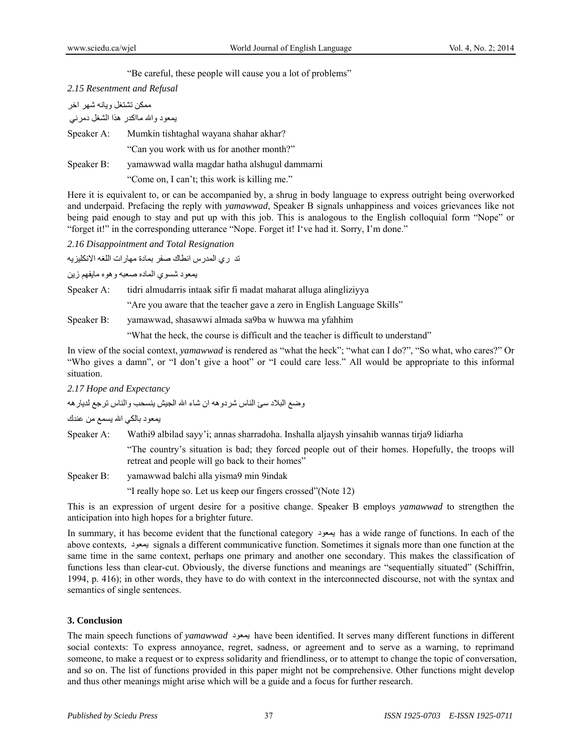"Be careful, these people will cause you a lot of problems"

*2.15 Resentment and Refusal* 

ممكن تشتغل ويانه شهر اخر يمعود والله مااكدر هذا الشغل دمرنبي

Speaker A: Mumkin tishtaghal wayana shahar akhar? "Can you work with us for another month?"

Speaker B: yamawwad walla magdar hatha alshugul dammarni "Come on, I can't; this work is killing me."

Here it is equivalent to, or can be accompanied by, a shrug in body language to express outright being overworked and underpaid. Prefacing the reply with *yamawwad*, Speaker B signals unhappiness and voices grievances like not being paid enough to stay and put up with this job. This is analogous to the English colloquial form "Nope" or "forget it!" in the corresponding utterance "Nope. Forget it! I've had it. Sorry, I'm done."

*2.16 Disappointment and Total Resignation*

تد ري المدرس انطاك صفر بمادة مهارات اللغه الانكليزيه

يمعود شسوي الماده صعبه وهوه مايفهم زين

Speaker A: tidri almudarris intaak sifir fi madat maharat alluga alingliziyya

"Are you aware that the teacher gave a zero in English Language Skills"

Speaker B: yamawwad, shasawwi almada sa9ba w huwwa ma yfahhim

"What the heck, the course is difficult and the teacher is difficult to understand"

In view of the social context, *yamawwad* is rendered as "what the heck"; "what can I do?", "So what, who cares?" Or "Who gives a damn", or "I don't give a hoot" or "I could care less." All would be appropriate to this informal situation.

*2.17 Hope and Expectancy* 

وضع البلاد سئ الناس شردوهه ان شاء االله الجيش ينسحب والناس ترجع لديارهه

يمعود بالكي االله يسمع من عندك

Speaker A: Wathi9 albilad sayy'i; annas sharradoha. Inshalla aljaysh yinsahib wannas tirja9 lidiarha

"The country's situation is bad; they forced people out of their homes. Hopefully, the troops will retreat and people will go back to their homes"

Speaker B: yamawwad balchi alla yisma9 min 9indak

"I really hope so. Let us keep our fingers crossed"(Note 12)

This is an expression of urgent desire for a positive change. Speaker B employs *yamawwad* to strengthen the anticipation into high hopes for a brighter future.

In summary, it has become evident that the functional category يمعود has a wide range of functions. In each of the above contexts, يمعود signals a different communicative function. Sometimes it signals more than one function at the same time in the same context, perhaps one primary and another one secondary. This makes the classification of functions less than clear-cut. Obviously, the diverse functions and meanings are "sequentially situated" (Schiffrin, 1994, p. 416); in other words, they have to do with context in the interconnected discourse, not with the syntax and semantics of single sentences.

# **3. Conclusion**

The main speech functions of *yamawwad* يمعود have been identified. It serves many different functions in different social contexts: To express annoyance, regret, sadness, or agreement and to serve as a warning, to reprimand someone, to make a request or to express solidarity and friendliness, or to attempt to change the topic of conversation, and so on. The list of functions provided in this paper might not be comprehensive. Other functions might develop and thus other meanings might arise which will be a guide and a focus for further research.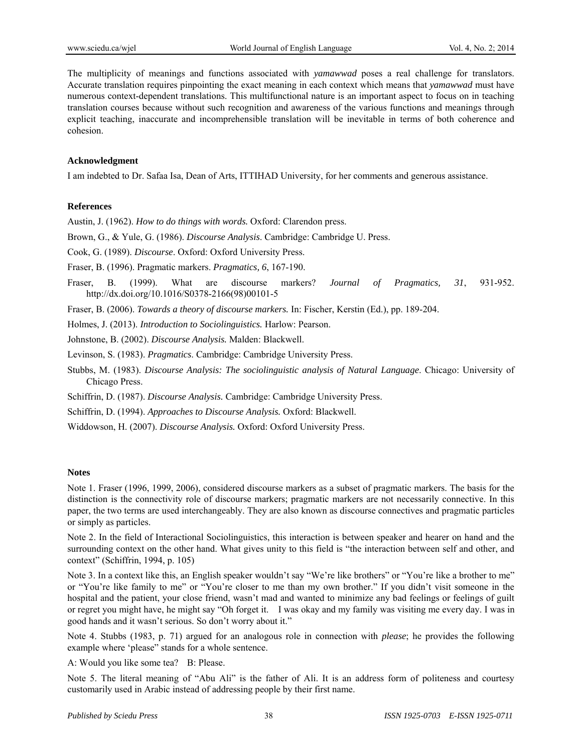The multiplicity of meanings and functions associated with *yamawwad* poses a real challenge for translators. Accurate translation requires pinpointing the exact meaning in each context which means that *yamawwad* must have numerous context-dependent translations. This multifunctional nature is an important aspect to focus on in teaching translation courses because without such recognition and awareness of the various functions and meanings through explicit teaching, inaccurate and incomprehensible translation will be inevitable in terms of both coherence and cohesion.

### **Acknowledgment**

I am indebted to Dr. Safaa Isa, Dean of Arts, ITTIHAD University, for her comments and generous assistance.

### **References**

Austin, J. (1962). *How to do things with words.* Oxford: Clarendon press.

Brown, G., & Yule, G. (1986). *Discourse Analysis*. Cambridge: Cambridge U. Press.

Cook, G. (1989). *Discourse*. Oxford: Oxford University Press.

Fraser, B. (1996). Pragmatic markers. *Pragmatics, 6*, 167-190.

Fraser, B. (1999). What are discourse markers? *Journal of Pragmatics, 31*, 931-952. http://dx.doi.org/10.1016/S0378-2166(98)00101-5

Fraser, B. (2006). *Towards a theory of discourse markers.* In: Fischer, Kerstin (Ed.), pp. 189-204.

Holmes, J. (2013). *Introduction to Sociolinguistics.* Harlow: Pearson.

Johnstone, B. (2002). *Discourse Analysis.* Malden: Blackwell.

Levinson, S. (1983). *Pragmatics*. Cambridge: Cambridge University Press.

Stubbs, M. (1983). *Discourse Analysis: The sociolinguistic analysis of Natural Language*. Chicago: University of Chicago Press.

Schiffrin, D. (1987). *Discourse Analysis.* Cambridge: Cambridge University Press.

Schiffrin, D. (1994). *Approaches to Discourse Analysis.* Oxford: Blackwell.

Widdowson, H. (2007). *Discourse Analysis.* Oxford: Oxford University Press.

#### **Notes**

Note 1. Fraser (1996, 1999, 2006), considered discourse markers as a subset of pragmatic markers. The basis for the distinction is the connectivity role of discourse markers; pragmatic markers are not necessarily connective. In this paper, the two terms are used interchangeably. They are also known as discourse connectives and pragmatic particles or simply as particles.

Note 2. In the field of Interactional Sociolinguistics, this interaction is between speaker and hearer on hand and the surrounding context on the other hand. What gives unity to this field is "the interaction between self and other, and context" (Schiffrin, 1994, p. 105)

Note 3. In a context like this, an English speaker wouldn't say "We're like brothers" or "You're like a brother to me" or "You're like family to me" or "You're closer to me than my own brother." If you didn't visit someone in the hospital and the patient, your close friend, wasn't mad and wanted to minimize any bad feelings or feelings of guilt or regret you might have, he might say "Oh forget it. I was okay and my family was visiting me every day. I was in good hands and it wasn't serious. So don't worry about it."

Note 4. Stubbs (1983, p. 71) argued for an analogous role in connection with *please*; he provides the following example where 'please" stands for a whole sentence.

A: Would you like some tea? B: Please.

Note 5. The literal meaning of "Abu Ali" is the father of Ali. It is an address form of politeness and courtesy customarily used in Arabic instead of addressing people by their first name.